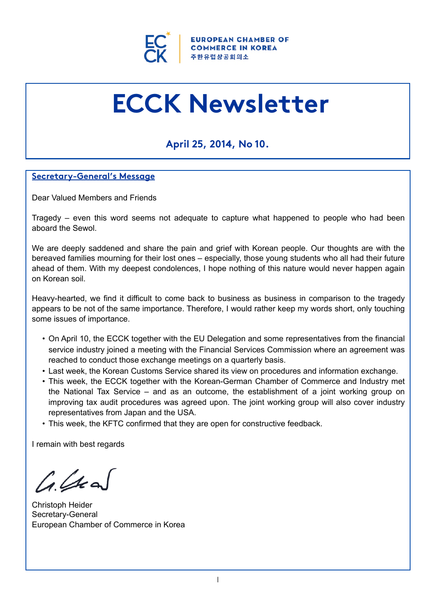

# **ECCK Newsletter**

## **April 25, 2014, No 10.**

## **Secretary-General's Message**

Dear Valued Members and Friends

Tragedy – even this word seems not adequate to capture what happened to people who had been aboard the Sewol.

We are deeply saddened and share the pain and grief with Korean people. Our thoughts are with the bereaved families mourning for their lost ones – especially, those young students who all had their future ahead of them. With my deepest condolences, I hope nothing of this nature would never happen again on Korean soil.

Heavy-hearted, we find it difficult to come back to business as business in comparison to the tragedy appears to be not of the same importance. Therefore, I would rather keep my words short, only touching some issues of importance.

- On April 10, the ECCK together with the EU Delegation and some representatives from the financial service industry joined a meeting with the Financial Services Commission where an agreement was reached to conduct those exchange meetings on a quarterly basis.
- Last week, the Korean Customs Service shared its view on procedures and information exchange.
- This week, the ECCK together with the Korean-German Chamber of Commerce and Industry met the National Tax Service – and as an outcome, the establishment of a joint working group on improving tax audit procedures was agreed upon. The joint working group will also cover industry representatives from Japan and the USA.
- This week, the KFTC confirmed that they are open for constructive feedback.

I remain with best regards

 $44$ 

Christoph Heider Secretary-General European Chamber of Commerce in Korea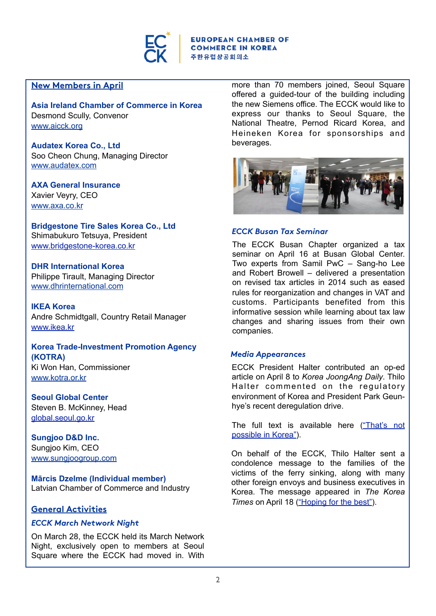

## **New Members in April**

**Asia Ireland Chamber of Commerce in Korea** Desmond Scully, Convenor [www.aicck.org](http://www.aicck.org/)

**Audatex Korea Co., Ltd** Soo Cheon Chung, Managing Director [www.audatex.com](http://www.audatex.com/)

**AXA General Insurance** Xavier Veyry, CEO [www.axa.co.kr](http://www.axa.co.kr/)

**Bridgestone Tire Sales Korea Co., Ltd** Shimabukuro Tetsuya, President [www.bridgestone-korea.co.kr](http://www.bridgestone-korea.co.kr/)

**DHR International Korea** Philippe Tirault, Managing Director [www.dhrinternational.com](http://www.dhrinternational.com/)

**IKEA Korea**  Andre Schmidtgall, Country Retail Manager [www.ikea.kr](http://www.ikea.kr)

**Korea Trade-Investment Promotion Agency (KOTRA)**  Ki Won Han, Commissioner [www.kotra.or.kr](http://www.kotra.or.kr/)

**Seoul Global Center**  Steven B. McKinney, Head [global.seoul.go.kr](http://global.seoul.go.kr)

**Sungjoo D&D Inc.** Sungjoo Kim, CEO [www.sungjoogroup.com](http://www.sungjoogroup.com/)

**Mārcis Dzelme (Individual member)** Latvian Chamber of Commerce and Industry

## **General Activities**

#### *ECCK March Network Night*

On March 28, the ECCK held its March Network Night, exclusively open to members at Seoul Square where the ECCK had moved in. With

more than 70 members joined, Seoul Square offered a guided-tour of the building including the new Siemens office. The ECCK would like to express our thanks to Seoul Square, the National Theatre, Pernod Ricard Korea, and Heineken Korea for sponsorships and beverages.



#### *ECCK Busan Tax Seminar*

The ECCK Busan Chapter organized a tax seminar on April 16 at Busan Global Center. Two experts from Samil PwC – Sang-ho Lee and Robert Browell – delivered a presentation on revised tax articles in 2014 such as eased rules for reorganization and changes in VAT and customs. Participants benefited from this informative session while learning about tax law changes and sharing issues from their own companies.

#### *Media Appearances*

ECCK President Halter contributed an op-ed article on April 8 to *Korea JoongAng Daily*. Thilo Halter commented on the regulatory environment of Korea and President Park Geunhye's recent deregulation drive.

The full text is available here [\("That's not](http://koreajoongangdaily.joins.com/news/article/article.aspx?aid=2987578)  [possible in Korea"\)](http://koreajoongangdaily.joins.com/news/article/article.aspx?aid=2987578).

On behalf of the ECCK, Thilo Halter sent a condolence message to the families of the victims of the ferry sinking, along with many other foreign envoys and business executives in Korea. The message appeared in *The Korea Times* on April 18 [\("Hoping for the best"\)](http://www.koreatimes.co.kr/www/news/nation/2014/04/116_155677.html).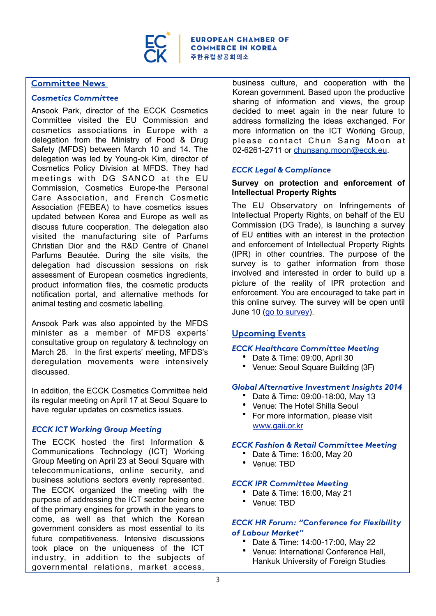

**EUROPEAN CHAMBER OF COMMERCE IN KOREA** 주한유럽상공회의소

#### **Committee News**

#### *Cosmetics Committee*

Ansook Park, director of the ECCK Cosmetics Committee visited the EU Commission and cosmetics associations in Europe with a delegation from the Ministry of Food & Drug Safety (MFDS) between March 10 and 14. The delegation was led by Young-ok Kim, director of Cosmetics Policy Division at MFDS. They had meetings with DG SANCO at the EU Commission, Cosmetics Europe-the Personal Care Association, and French Cosmetic Association (FEBEA) to have cosmetics issues updated between Korea and Europe as well as discuss future cooperation. The delegation also visited the manufacturing site of Parfums Christian Dior and the R&D Centre of Chanel Parfums Beautée. During the site visits, the delegation had discussion sessions on risk assessment of European cosmetics ingredients, product information files, the cosmetic products notification portal, and alternative methods for animal testing and cosmetic labelling.

Ansook Park was also appointed by the MFDS minister as a member of MFDS experts' consultative group on regulatory & technology on March 28. In the first experts' meeting, MFDS's deregulation movements were intensively discussed.

In addition, the ECCK Cosmetics Committee held its regular meeting on April 17 at Seoul Square to have regular updates on cosmetics issues.

## *ECCK ICT Working Group Meeting*

The ECCK hosted the first Information & Communications Technology (ICT) Working Group Meeting on April 23 at Seoul Square with telecommunications, online security, and business solutions sectors evenly represented. The ECCK organized the meeting with the purpose of addressing the ICT sector being one of the primary engines for growth in the years to come, as well as that which the Korean government considers as most essential to its future competitiveness. Intensive discussions took place on the uniqueness of the ICT industry, in addition to the subjects of governmental relations, market access,

business culture, and cooperation with the Korean government. Based upon the productive sharing of information and views, the group decided to meet again in the near future to address formalizing the ideas exchanged. For more information on the ICT Working Group, please contact Chun Sang Moon at 02-6261-2711 or [chunsang.moon@ecck.eu.](mailto:chunsang.moon@ecck.eu)

## *ECCK Legal & Compliance*

#### **Survey on protection and enforcement of Intellectual Property Rights**

The EU Observatory on Infringements of Intellectual Property Rights, on behalf of the EU Commission (DG Trade), is launching a survey of EU entities with an interest in the protection and enforcement of Intellectual Property Rights (IPR) in other countries. The purpose of the survey is to gather information from those involved and interested in order to build up a picture of the reality of IPR protection and enforcement. You are encouraged to take part in this online survey. The survey will be open until June 10 [\(go to survey\)](https://www.tmdn.org/uss/index.php?sid=64891&lang=en).

## **Upcoming Events**

#### *ECCK Healthcare Committee Meeting*

- Date & Time: 09:00, April 30
- Venue: Seoul Square Building (3F)

#### *Global Alternative Investment Insights 2014*

- Date & Time: 09:00-18:00, May 13
- Venue: The Hotel Shilla Seoul
- For more information, please visit [www.gaii.or.kr](http://www.gaii.or.kr)

#### *ECCK Fashion & Retail Committee Meeting*

- Date & Time: 16:00, May 20
- Venue: TBD

#### *ECCK IPR Committee Meeting*

- Date & Time: 16:00, May 21
- Venue: TBD

## *ECCK HR Forum: "Conference for Flexibility of Labour Market"*

- Date & Time: 14:00-17:00, May 22
- Venue: International Conference Hall, Hankuk University of Foreign Studies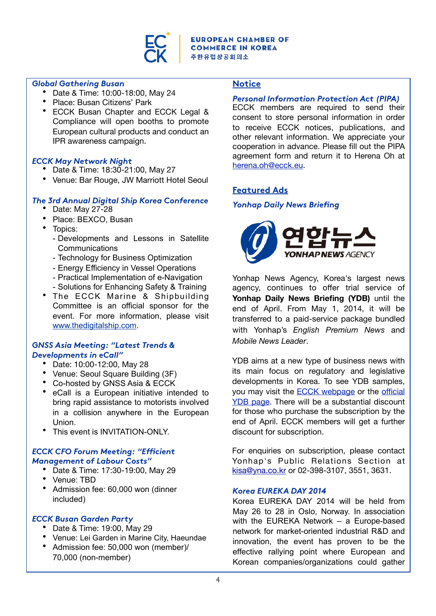

#### *Global Gathering Busan*

- Date & Time: 10:00-18:00, May 24
- Place: Busan Citizens' Park
- ECCK Busan Chapter and ECCK Legal & Compliance will open booths to promote European cultural products and conduct an IPR awareness campaign.

## *ECCK May Network Night*

- Date & Time: 18:30-21:00, May 27
- Venue: Bar Rouge, JW Marriott Hotel Seoul

## *The 3rd Annual Digital Ship Korea Conference*

- Date: May 27-28
- Place: BEXCO, Busan
- Topics:
	- Developments and Lessons in Satellite **Communications**
	- Technology for Business Optimization
	- Energy Efficiency in Vessel Operations
	- Practical Implementation of e-Navigation
	- Solutions for Enhancing Safety & Training
- The ECCK Marine & Shipbuilding Committee is an official sponsor for the event. For more information, please visit [www.thedigitalship.com.](http://www.thedigitalship.com/)

#### *GNSS Asia Meeting: "Latest Trends & Developments in eCall"*

- Date: 10:00-12:00, May 28
- Venue: Seoul Square Building (3F)
- Co-hosted by GNSS Asia & ECCK
- eCall is a European initiative intended to bring rapid assistance to motorists involved in a collision anywhere in the European Union.
- This event is INVITATION-ONLY

## *ECCK CFO Forum Meeting: "Efficient Management of Labour Costs"*

- Date & Time: 17:30-19:00, May 29
- Venue: TBD
- Admission fee: 60,000 won (dinner included)

## *ECCK Busan Garden Party*

- Date & Time: 19:00, May 29
- Venue: Lei Garden in Marine City, Haeundae
- Admission fee: 50,000 won (member)/ 70,000 (non-member)

## **Notice**

## *Personal Information Protection Act (PIPA)*

ECCK members are required to send their consent to store personal information in order to receive ECCK notices, publications, and other relevant information. We appreciate your cooperation in advance. Please fill out the PIPA agreement form and return it to Herena Oh at [herena.oh@ecck.eu.](mailto:herena.oh@ecck.eu)

## **Featured Ads**

## *Yonhap Daily News Briefing*



Yonhap News Agency, Korea's largest news agency, continues to offer trial service of Yonhap Daily News Briefing (YDB) until the end of April. From May 1, 2014, it will be transferred to a paid-service package bundled with Yonhap's *English Premium News* and *Mobile News Leader*.

YDB aims at a new type of business news with its main focus on regulatory and legislative developments in Korea. To see YDB samples, you may visit the [ECCK webpage](http://ecck.eu/nhc/bbs/board.php?bo_table=sub03_03) or the offi[cial](http://english.yonhapnews.co.kr/daily_briefing/index.html)  [YDB page](http://english.yonhapnews.co.kr/daily_briefing/index.html). There will be a substantial discount for those who purchase the subscription by the end of April. ECCK members will get a further discount for subscription.

For enquiries on subscription, please contact Yonhap's Public Relations Section at [kisa@yna.co.kr](mailto:kisa@yna.co.kr) or 02-398-3107, 3551, 3631.

## *Korea EUREKA DAY 2014*

Korea EUREKA DAY 2014 will be held from May 26 to 28 in Oslo, Norway. In association with the EUREKA Network – a Europe-based network for market-oriented industrial R&D and innovation, the event has proven to be the effective rallying point where European and Korean companies/organizations could gather